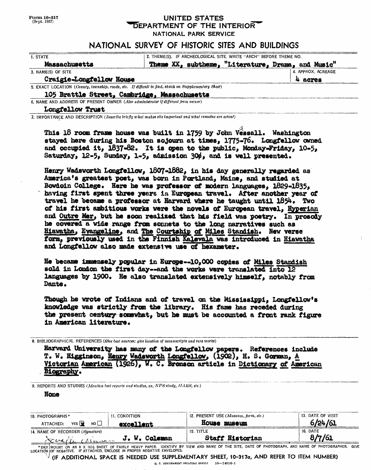|              | <b>Form 10-317</b> |
|--------------|--------------------|
| (Sept. 1957) |                    |

### UNITED STATES **DEPARTMENT OF THE INTERIOR** NATIONAL PARK SERVICE

## NATIONAL SURVEY OF HISTORIC SITES AND BUILDINGS

| 1. STATE                                                                                              | 2. THEME(S). IF ARCHEOLOGICAL SITE, WRITE "ARCH" BEFORE THEME NO. |  |                                                    |                    |
|-------------------------------------------------------------------------------------------------------|-------------------------------------------------------------------|--|----------------------------------------------------|--------------------|
| Massachusetts                                                                                         |                                                                   |  | Theme XX, subtheme, "Literature, Drama, and Music" |                    |
| 3. NAME(S) OF SITE                                                                                    |                                                                   |  |                                                    | 4. APPROX. ACREAGE |
| Craigie-Longfellow House                                                                              |                                                                   |  |                                                    | 4 acres            |
| 5. EXACT LOCATION (County, township, roads, etc. If difficult to find, sketch on Supplementary Sheet) |                                                                   |  |                                                    |                    |
| 105 Brattle Street, Cambridge, Massachusetts                                                          |                                                                   |  |                                                    |                    |
| 6. NAME AND ADDRESS OF PRESENT OWNER (Also administrator if different from owner)                     |                                                                   |  |                                                    |                    |
|                                                                                                       |                                                                   |  |                                                    |                    |

Longfellow Trust\_\_\_\_\_\_\_\_\_\_\_\_\_\_\_\_\_\_\_\_\_\_\_

7. IMPORTANCE AND DESCRIPTION *(Describe brie fly what makes site important and what remains are extant)*

This 18 room frame house was built in 1759 by John Vessall. Washington stayed here during his Boston sojourn at times, 1775-76. Longfellow owned and occupied it,  $1837-82$ . It is open to the public, Monday-Friday,  $10-5$ . Saturday, 12-5, Sunday, 1-5, admission 30%, and is well presented.

Henry Vadsworth Longfellow, 1807-1862, in Ms day generally regarded as America's greatest poet, was born in Portland, Maine, and studied at Bowdoin College. Here he was profeaaor of modern languages, 1829-1835, having f**tint** spent three years la European travel. After another year of travel he became a professor at Harvard where he taught until 1854, Two of bis first ambitious works were the novels of European travel, Hyperian and Outre Mer, but he soon realized that has field was poetry. In prosody lie covered a wide range from sonnets to the long narratives such as Hiawatha, Evangeline, and The Courtship of Miles Standish. New verse form, previously used in the Finnieh Kalevals was introduced in Hiawatha and Longfellow also made extensive use of hexameter.

He became immensely popular in Europe--10.000 copies of Miles Standish sold in London the first day -- and the works were translated into  $12$ languages by 1900. He also translated extensively himself, notably from Dante.

Though he wrote of Indians and of travel on the Mississippi, Longfellow's knowledge was strictly from the library. His fame has receded during the present century somewhat, but he must be accounted a front figure in American literature.

8. BIBLIOGRAPHICAL REFERENCES *(Give best sources; give location of manuscripts and rare works)*

Harvard University has many of the Longfellow papers. References include T. W. Higginson, Henry Wadsworth Longfellow, (1902), H. S. Gorman, A Victorian American (1926), W. C. Bronson article in Dictionary of American Biography.

9. REPORTS AND STUDIES *(Mention best reports and studies, as, NPSstudy, 1IABS, etc.)*

#### **None**

| 10. PHOTOGRAPHS*                 |                         | 11. CONDITION |                                                                          | 12. PRESENT USE $(Museum, farm, etc.)$ |                 | 13. DATE OF VISIT                                                                                                                                  |  |
|----------------------------------|-------------------------|---------------|--------------------------------------------------------------------------|----------------------------------------|-----------------|----------------------------------------------------------------------------------------------------------------------------------------------------|--|
| ATTACHED:                        | YES <b>EX</b> NO $\Box$ | excellent     |                                                                          | House museum                           |                 | 6/24/61                                                                                                                                            |  |
| 14. NAME OF RECORDER (Signature) |                         |               |                                                                          | 15. TITLE                              |                 | 16. DATE                                                                                                                                           |  |
|                                  |                         |               | <u>Euglin coinner J. W. Coleman</u>                                      |                                        | Staff Historian | 8/7/61                                                                                                                                             |  |
|                                  |                         |               | LOCATION OF NEGATIVE. IF ATTACHED, ENCLOSE IN PROPER NEGATIVE ENVELOPES. |                                        |                 | * DRY MOUNT ON AN 8 X 101/2 SHEET OF FAIRLY HEAVY PAPER. IDENTIFY BY VIEW AND NAME OF THE SITE, DATE OF PHOTOGRAPH, AND NAME OF PHOTOGRAPHER. GIVE |  |

(IF ADDITIONAL SPACE IS NEEDED USE SUPPLEMENTARY SHEET, 10-317a, AND REFER TO ITEM NUMBER)

U. S. GOVERNMENT PRINTING OFFICE 16-74016-1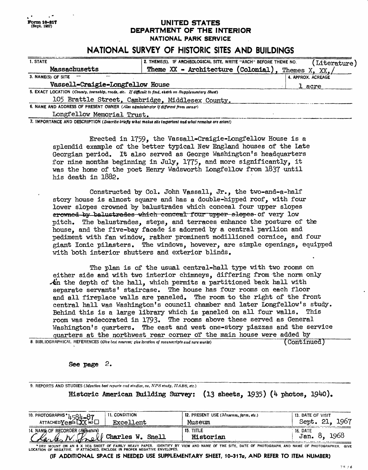### **(Sept. 1057) UNITED STATES DEPARTMENT OF THE INTERIOR NATIONAL PARK SERVICE**

# **NATIONAL SURVEY OF HISTORIC SITES AND BUILDINGS**

| 1. STATE                                                                                              | 2. THEME(S). IF ARCHEOLOGICAL SITE, WRITE "ARCH" BEFORE THEME NO. | Literature)        |  |  |
|-------------------------------------------------------------------------------------------------------|-------------------------------------------------------------------|--------------------|--|--|
| Massachusetts                                                                                         | Theme $XX$ - Architecture (Colonial).                             | Themes<br>XX.      |  |  |
| 3. NAME(S) OF SITE                                                                                    |                                                                   | 4. APPROX. ACREAGE |  |  |
| Vassell-Craigie-Longfellow House                                                                      | 1 acre                                                            |                    |  |  |
| 5. EXACT LOCATION (County, township, roads, etc. If difficult to find, sketch on Supplementary Sheet) |                                                                   |                    |  |  |
| 105 Brattle Street, Cambridge, Middlesex County.                                                      |                                                                   |                    |  |  |
| 6. NAME AND ADDRESS OF PRESENT OWNER (Also administrator if different from owner)                     |                                                                   |                    |  |  |
| Longfellow Memorial Trust.                                                                            |                                                                   |                    |  |  |

7. IMPORTANCE AND DESCRIPTION *(Deteribe briefly what makes tite important and what remains are extant)*

**Form 10-817**

Erected in 1759, the Vassall-Craigie-Longfellow House is a splendid example of the better typical New England houses of the Late Georgian period. It also served as George Washington's headquarters for nine months beginning in July, 1775, and more significantly, it was the home of the poet Henry Wadsworth Longfellow from 1837 until his death in 1882.

Constructed by Col. John Vassall, Jr., the two-and-a-half story house is almost square and has a double-hipped roof, with four lower slopes crowned by balustrades which conceal four upper slopes erowned by balustrades which conceal four upper slopes of very low pitch. The balustrades, steps, and terraces enhance the posture of the house, and the five-bay facade is adorned by a central pavilion and pediment with fan window, rather prominent modillioned cornice, and four giant Ionic pilasters. The windows, however, are simple openings, equipped with both interior shutters and exterior blinds.

The plan is of the usual central-hall type with two rooms on either side and with two interior chimneys, differing from the norm only  $\mathcal{A}_n$  the depth of the hall, which permits a partitioned back hall with separate servants' staircase. The house has four rooms on each floor and all fireplace walls are paneled. The room to the right of the front central hall was Washington's council chamber and later Longfellow's study. Behind this is a large library which is paneled on all four walls. This room was redecorated in 1793. The rooms above these served as General Washington's quarters. The east and west one-story piazzas and the service quarters at the northwest rear corner of the main house were added by<br>RAPHICAL REFERENCES (*Give best sources*; *give location of manuscripts and rare works*) (Continued) 8. BIBLIOGRAPHICAL REFERENCES *(Give best sources; give location of manuscripts and rare works)* 

#### See page 2.

9. REPORTS AND STUDIES *(Mention best reports and studies, as, NFS study, HABS, etc.)* Historic American Building Survey:  $(13 \text{ sheets}, 1935)$   $(4 \text{ photos}, 1940)$ .

|                                                                          | <b>11. CONDITION</b> | 12. PRESENT USE $(Museum, farm, etc.)$                                                                                                             | 13. DATE OF VISIT        |
|--------------------------------------------------------------------------|----------------------|----------------------------------------------------------------------------------------------------------------------------------------------------|--------------------------|
| 10. PHOTOGRAPHS $*1.581 - 87$<br>ATTACHEDY exes LXX NO                   | Excellent            | Museum                                                                                                                                             | Sept. 21, 1967           |
| 14. NAME OF RECORDER (Signature)<br>Clarles N. Prof Charles W. Snell     |                      | 15. TITLE<br>Historian                                                                                                                             | 16. DATE<br>Jan. 8, 1968 |
| LOCATION OF NEGATIVE. IF ATTACHED, ENCLOSE IN PROPER NEGATIVE ENVELOPES. |                      | * DRY MOUNT ON AN 8 X 101/2 SHEET OF FAIRLY HEAVY PAPER. IDENTIFY BY VIEW AND NAME OF THE SITE, DATE OF PHOTOGRAPH, AND NAME OF PHOTOGRAPHER. GIVE |                          |

**(IF ADDITIONAL SPACE IS NEEDED USE SUPPLEMENTARY SHEET, 10-317a, AND REFER TO ITEM NUMBER)**